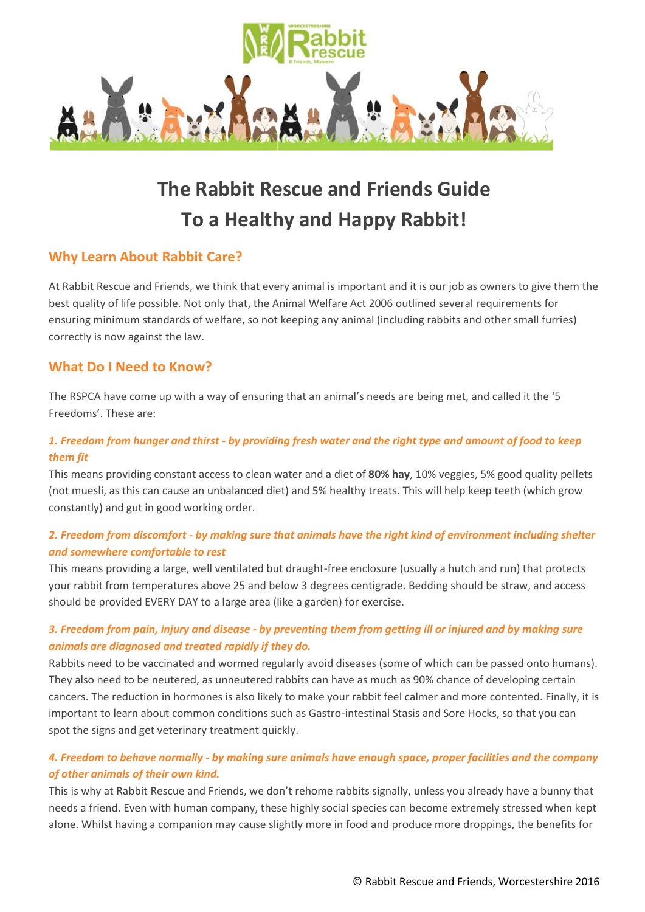

# **The Rabbit Rescue and Friends Guide To a Healthy and Happy Rabbit!**

# **Why Learn About Rabbit Care?**

At Rabbit Rescue and Friends, we think that every animal is important and it is our job as owners to give them the best quality of life possible. Not only that, the Animal Welfare Act 2006 outlined several requirements for ensuring minimum standards of welfare, so not keeping any animal (including rabbits and other small furries) correctly is now against the law.

# **What Do I Need to Know?**

The RSPCA have come up with a way of ensuring that an animal's needs are being met, and called it the '5 Freedoms'. These are:

# *1. Freedom from hunger and thirst - by providing fresh water and the right type and amount of food to keep them fit*

This means providing constant access to clean water and a diet of **80% hay**, 10% veggies, 5% good quality pellets (not muesli, as this can cause an unbalanced diet) and 5% healthy treats. This will help keep teeth (which grow constantly) and gut in good working order.

# *2. Freedom from discomfort - by making sure that animals have the right kind of environment including shelter and somewhere comfortable to rest*

This means providing a large, well ventilated but draught-free enclosure (usually a hutch and run) that protects your rabbit from temperatures above 25 and below 3 degrees centigrade. Bedding should be straw, and access should be provided EVERY DAY to a large area (like a garden) for exercise.

# *3. Freedom from pain, injury and disease - by preventing them from getting ill or injured and by making sure animals are diagnosed and treated rapidly if they do.*

Rabbits need to be vaccinated and wormed regularly avoid diseases (some of which can be passed onto humans). They also need to be neutered, as unneutered rabbits can have as much as 90% chance of developing certain cancers. The reduction in hormones is also likely to make your rabbit feel calmer and more contented. Finally, it is important to learn about common conditions such as Gastro-intestinal Stasis and Sore Hocks, so that you can spot the signs and get veterinary treatment quickly.

# *4. Freedom to behave normally - by making sure animals have enough space, proper facilities and the company of other animals of their own kind.*

This is why at Rabbit Rescue and Friends, we don't rehome rabbits signally, unless you already have a bunny that needs a friend. Even with human company, these highly social species can become extremely stressed when kept alone. Whilst having a companion may cause slightly more in food and produce more droppings, the benefits for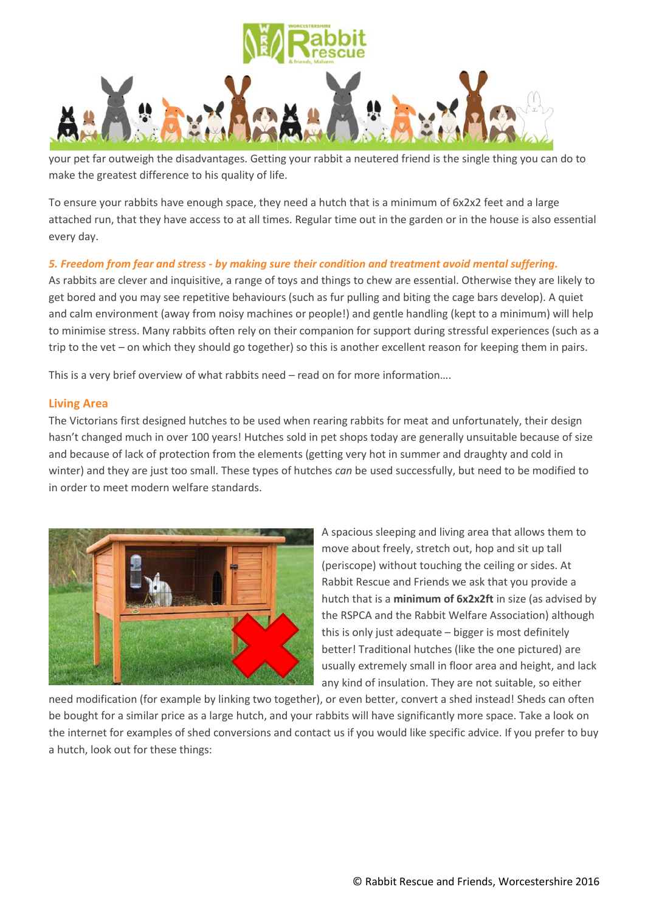

your pet far outweigh the disadvantages. Getting your rabbit a neutered friend is the single thing you can do to make the greatest difference to his quality of life.

To ensure your rabbits have enough space, they need a hutch that is a minimum of 6x2x2 feet and a large attached run, that they have access to at all times. Regular time out in the garden or in the house is also essential every day.

## *5. Freedom from fear and stress - by making sure their condition and treatment avoid mental suffering.*

As rabbits are clever and inquisitive, a range of toys and things to chew are essential. Otherwise they are likely to get bored and you may see repetitive behaviours (such as fur pulling and biting the cage bars develop). A quiet and calm environment (away from noisy machines or people!) and gentle handling (kept to a minimum) will help to minimise stress. Many rabbits often rely on their companion for support during stressful experiences (such as a trip to the vet – on which they should go together) so this is another excellent reason for keeping them in pairs.

This is a very brief overview of what rabbits need – read on for more information….

## **Living Area**

The Victorians first designed hutches to be used when rearing rabbits for meat and unfortunately, their design hasn't changed much in over 100 years! Hutches sold in pet shops today are generally unsuitable because of size and because of lack of protection from the elements (getting very hot in summer and draughty and cold in winter) and they are just too small. These types of hutches *can* be used successfully, but need to be modified to in order to meet modern welfare standards.



A spacious sleeping and living area that allows them to move about freely, stretch out, hop and sit up tall (periscope) without touching the ceiling or sides. At Rabbit Rescue and Friends we ask that you provide a hutch that is a **minimum of 6x2x2ft** in size (as advised by the RSPCA and the Rabbit Welfare Association) although this is only just adequate – bigger is most definitely better! Traditional hutches (like the one pictured) are usually extremely small in floor area and height, and lack any kind of insulation. They are not suitable, so either

need modification (for example by linking two together), or even better, convert a shed instead! Sheds can often be bought for a similar price as a large hutch, and your rabbits will have significantly more space. Take a look on the internet for examples of shed conversions and contact us if you would like specific advice. If you prefer to buy a hutch, look out for these things: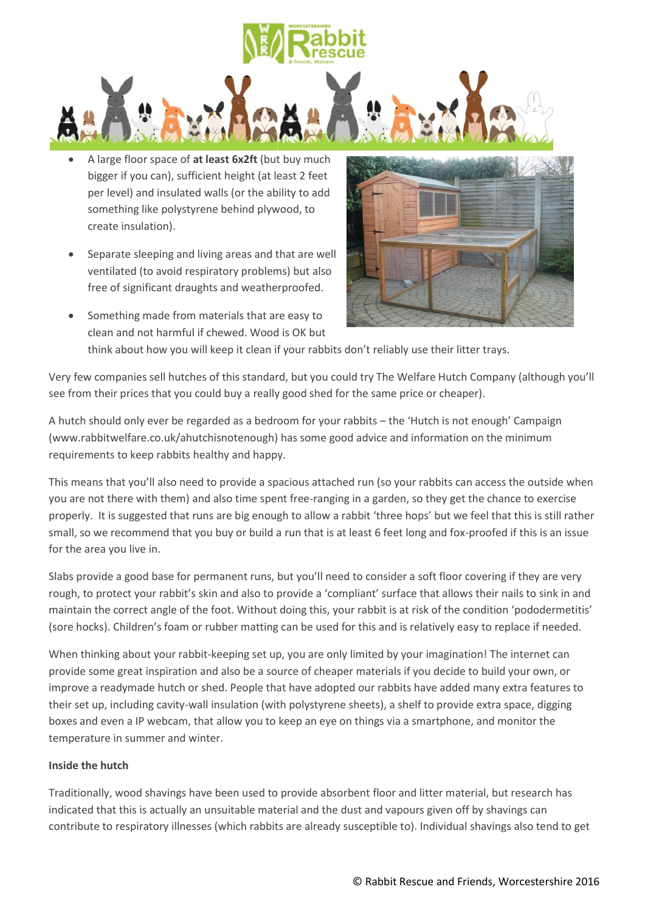

- A large floor space of **at least 6x2ft** (but buy much bigger if you can), sufficient height (at least 2 feet per level) and insulated walls (or the ability to add something like polystyrene behind plywood, to create insulation).
- Separate sleeping and living areas and that are well ventilated (to avoid respiratory problems) but also free of significant draughts and weatherproofed.
- Something made from materials that are easy to clean and not harmful if chewed. Wood is OK but



think about how you will keep it clean if your rabbits don't reliably use their litter trays.

Very few companies sell hutches of this standard, but you could try The Welfare Hutch Company (although you'll see from their prices that you could buy a really good shed for the same price or cheaper).

A hutch should only ever be regarded as a bedroom for your rabbits – the 'Hutch is not enough' Campaign (www.rabbitwelfare.co.uk/ahutchisnotenough) has some good advice and information on the minimum requirements to keep rabbits healthy and happy.

This means that you'll also need to provide a spacious attached run (so your rabbits can access the outside when you are not there with them) and also time spent free-ranging in a garden, so they get the chance to exercise properly. It is suggested that runs are big enough to allow a rabbit 'three hops' but we feel that this is still rather small, so we recommend that you buy or build a run that is at least 6 feet long and fox-proofed if this is an issue for the area you live in.

Slabs provide a good base for permanent runs, but you'll need to consider a soft floor covering if they are very rough, to protect your rabbit's skin and also to provide a 'compliant' surface that allows their nails to sink in and maintain the correct angle of the foot. Without doing this, your rabbit is at risk of the condition 'pododermetitis' (sore hocks). Children's foam or rubber matting can be used for this and is relatively easy to replace if needed.

When thinking about your rabbit-keeping set up, you are only limited by your imagination! The internet can provide some great inspiration and also be a source of cheaper materials if you decide to build your own, or improve a readymade hutch or shed. People that have adopted our rabbits have added many extra features to their set up, including cavity-wall insulation (with polystyrene sheets), a shelf to provide extra space, digging boxes and even a IP webcam, that allow you to keep an eye on things via a smartphone, and monitor the temperature in summer and winter.

#### **Inside the hutch**

Traditionally, wood shavings have been used to provide absorbent floor and litter material, but research has indicated that this is actually an unsuitable material and the dust and vapours given off by shavings can contribute to respiratory illnesses (which rabbits are already susceptible to). Individual shavings also tend to get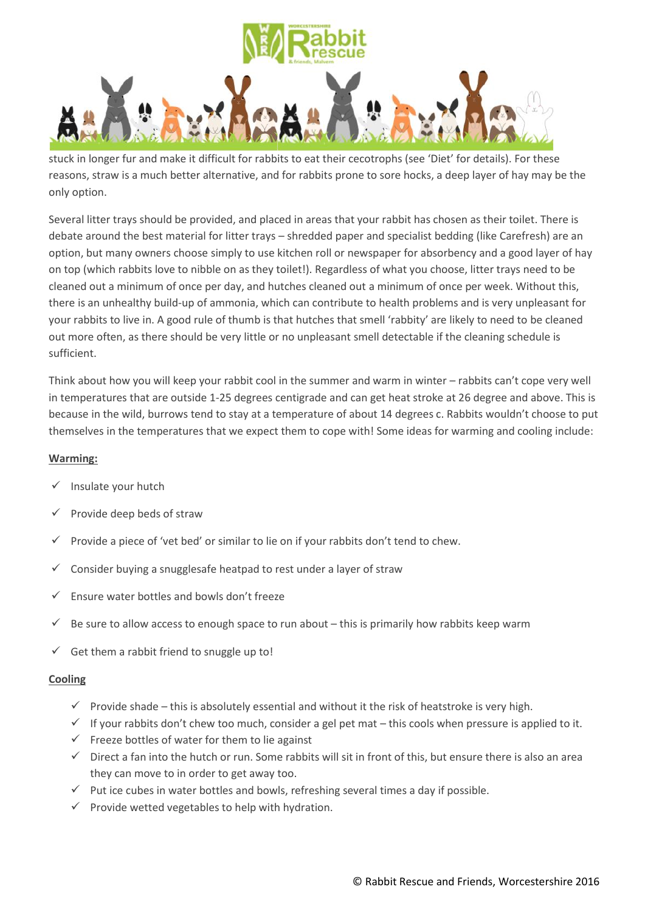

stuck in longer fur and make it difficult for rabbits to eat their cecotrophs (see 'Diet' for details). For these reasons, straw is a much better alternative, and for rabbits prone to sore hocks, a deep layer of hay may be the only option.

Several litter trays should be provided, and placed in areas that your rabbit has chosen as their toilet. There is debate around the best material for litter trays – shredded paper and specialist bedding (like Carefresh) are an option, but many owners choose simply to use kitchen roll or newspaper for absorbency and a good layer of hay on top (which rabbits love to nibble on as they toilet!). Regardless of what you choose, litter trays need to be cleaned out a minimum of once per day, and hutches cleaned out a minimum of once per week. Without this, there is an unhealthy build-up of ammonia, which can contribute to health problems and is very unpleasant for your rabbits to live in. A good rule of thumb is that hutches that smell 'rabbity' are likely to need to be cleaned out more often, as there should be very little or no unpleasant smell detectable if the cleaning schedule is sufficient.

Think about how you will keep your rabbit cool in the summer and warm in winter – rabbits can't cope very well in temperatures that are outside 1-25 degrees centigrade and can get heat stroke at 26 degree and above. This is because in the wild, burrows tend to stay at a temperature of about 14 degrees c. Rabbits wouldn't choose to put themselves in the temperatures that we expect them to cope with! Some ideas for warming and cooling include:

## **Warming:**

- Insulate your hutch
- Provide deep beds of straw
- Provide a piece of 'vet bed' or similar to lie on if your rabbits don't tend to chew.
- Consider buying a snugglesafe heatpad to rest under a layer of straw
- $\checkmark$  Ensure water bottles and bowls don't freeze
- Be sure to allow access to enough space to run about this is primarily how rabbits keep warm
- $\checkmark$  Get them a rabbit friend to snuggle up to!

#### **Cooling**

- $\checkmark$  Provide shade this is absolutely essential and without it the risk of heatstroke is very high.
- $\checkmark$  If your rabbits don't chew too much, consider a gel pet mat this cools when pressure is applied to it.
- $\checkmark$  Freeze bottles of water for them to lie against
- $\checkmark$  Direct a fan into the hutch or run. Some rabbits will sit in front of this, but ensure there is also an area they can move to in order to get away too.
- $\checkmark$  Put ice cubes in water bottles and bowls, refreshing several times a day if possible.
- $\checkmark$  Provide wetted vegetables to help with hydration.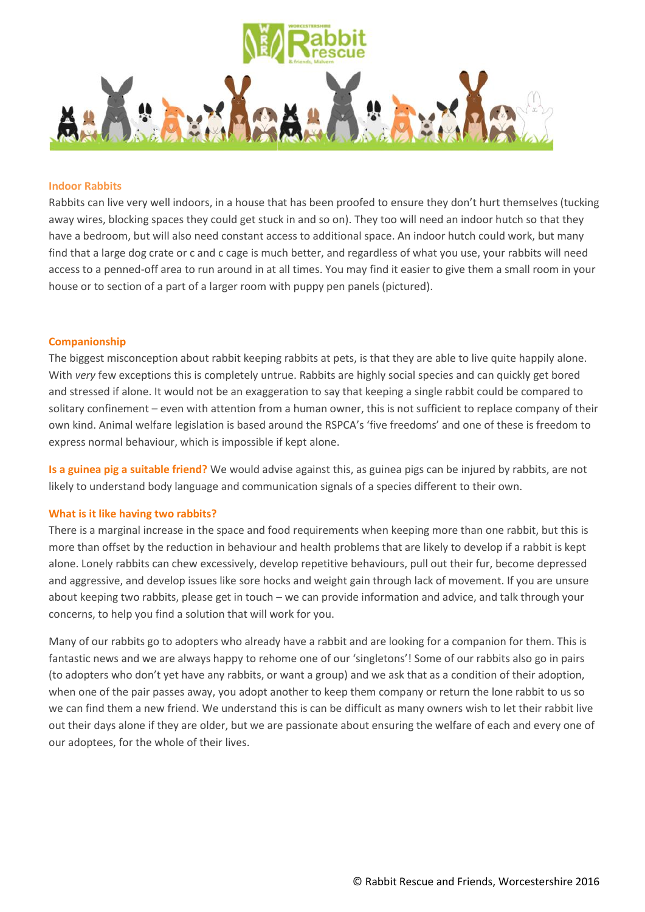

#### **Indoor Rabbits**

Rabbits can live very well indoors, in a house that has been proofed to ensure they don't hurt themselves (tucking away wires, blocking spaces they could get stuck in and so on). They too will need an indoor hutch so that they have a bedroom, but will also need constant access to additional space. An indoor hutch could work, but many find that a large dog crate or c and c cage is much better, and regardless of what you use, your rabbits will need access to a penned-off area to run around in at all times. You may find it easier to give them a small room in your house or to section of a part of a larger room with puppy pen panels (pictured).

#### **Companionship**

The biggest misconception about rabbit keeping rabbits at pets, is that they are able to live quite happily alone. With *very* few exceptions this is completely untrue. Rabbits are highly social species and can quickly get bored and stressed if alone. It would not be an exaggeration to say that keeping a single rabbit could be compared to solitary confinement – even with attention from a human owner, this is not sufficient to replace company of their own kind. Animal welfare legislation is based around the RSPCA's 'five freedoms' and one of these is freedom to express normal behaviour, which is impossible if kept alone.

**Is a guinea pig a suitable friend?** We would advise against this, as guinea pigs can be injured by rabbits, are not likely to understand body language and communication signals of a species different to their own.

#### **What is it like having two rabbits?**

There is a marginal increase in the space and food requirements when keeping more than one rabbit, but this is more than offset by the reduction in behaviour and health problems that are likely to develop if a rabbit is kept alone. Lonely rabbits can chew excessively, develop repetitive behaviours, pull out their fur, become depressed and aggressive, and develop issues like sore hocks and weight gain through lack of movement. If you are unsure about keeping two rabbits, please get in touch – we can provide information and advice, and talk through your concerns, to help you find a solution that will work for you.

Many of our rabbits go to adopters who already have a rabbit and are looking for a companion for them. This is fantastic news and we are always happy to rehome one of our 'singletons'! Some of our rabbits also go in pairs (to adopters who don't yet have any rabbits, or want a group) and we ask that as a condition of their adoption, when one of the pair passes away, you adopt another to keep them company or return the lone rabbit to us so we can find them a new friend. We understand this is can be difficult as many owners wish to let their rabbit live out their days alone if they are older, but we are passionate about ensuring the welfare of each and every one of our adoptees, for the whole of their lives.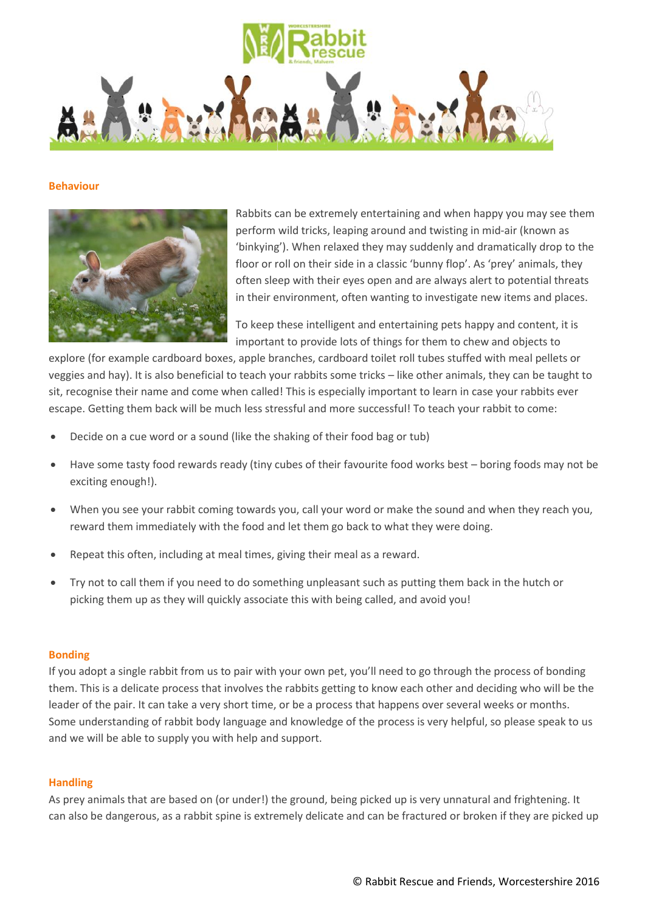

#### **Behaviour**



Rabbits can be extremely entertaining and when happy you may see them perform wild tricks, leaping around and twisting in mid-air (known as 'binkying'). When relaxed they may suddenly and dramatically drop to the floor or roll on their side in a classic 'bunny flop'. As 'prey' animals, they often sleep with their eyes open and are always alert to potential threats in their environment, often wanting to investigate new items and places.

To keep these intelligent and entertaining pets happy and content, it is important to provide lots of things for them to chew and objects to

explore (for example cardboard boxes, apple branches, cardboard toilet roll tubes stuffed with meal pellets or veggies and hay). It is also beneficial to teach your rabbits some tricks – like other animals, they can be taught to sit, recognise their name and come when called! This is especially important to learn in case your rabbits ever escape. Getting them back will be much less stressful and more successful! To teach your rabbit to come:

- Decide on a cue word or a sound (like the shaking of their food bag or tub)
- Have some tasty food rewards ready (tiny cubes of their favourite food works best boring foods may not be exciting enough!).
- When you see your rabbit coming towards you, call your word or make the sound and when they reach you, reward them immediately with the food and let them go back to what they were doing.
- Repeat this often, including at meal times, giving their meal as a reward.
- Try not to call them if you need to do something unpleasant such as putting them back in the hutch or picking them up as they will quickly associate this with being called, and avoid you!

#### **Bonding**

If you adopt a single rabbit from us to pair with your own pet, you'll need to go through the process of bonding them. This is a delicate process that involves the rabbits getting to know each other and deciding who will be the leader of the pair. It can take a very short time, or be a process that happens over several weeks or months. Some understanding of rabbit body language and knowledge of the process is very helpful, so please speak to us and we will be able to supply you with help and support.

#### **Handling**

As prey animals that are based on (or under!) the ground, being picked up is very unnatural and frightening. It can also be dangerous, as a rabbit spine is extremely delicate and can be fractured or broken if they are picked up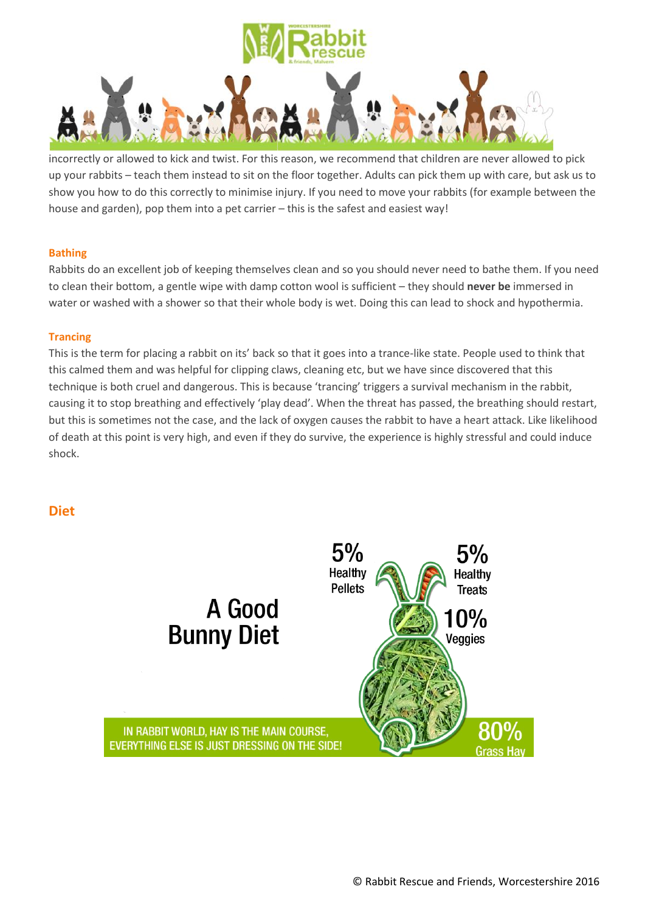

incorrectly or allowed to kick and twist. For this reason, we recommend that children are never allowed to pick up your rabbits – teach them instead to sit on the floor together. Adults can pick them up with care, but ask us to show you how to do this correctly to minimise injury. If you need to move your rabbits (for example between the house and garden), pop them into a pet carrier – this is the safest and easiest way!

## **Bathing**

Rabbits do an excellent job of keeping themselves clean and so you should never need to bathe them. If you need to clean their bottom, a gentle wipe with damp cotton wool is sufficient – they should **never be** immersed in water or washed with a shower so that their whole body is wet. Doing this can lead to shock and hypothermia.

## **Trancing**

This is the term for placing a rabbit on its' back so that it goes into a trance-like state. People used to think that this calmed them and was helpful for clipping claws, cleaning etc, but we have since discovered that this technique is both cruel and dangerous. This is because 'trancing' triggers a survival mechanism in the rabbit, causing it to stop breathing and effectively 'play dead'. When the threat has passed, the breathing should restart, but this is sometimes not the case, and the lack of oxygen causes the rabbit to have a heart attack. Like likelihood of death at this point is very high, and even if they do survive, the experience is highly stressful and could induce shock.

**Diet**

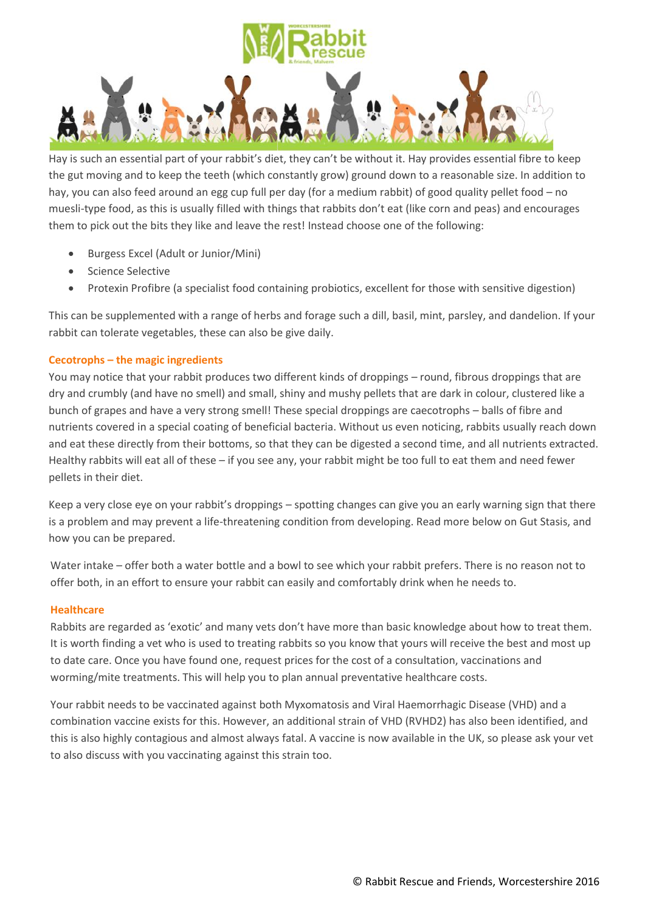

Hay is such an essential part of your rabbit's diet, they can't be without it. Hay provides essential fibre to keep the gut moving and to keep the teeth (which constantly grow) ground down to a reasonable size. In addition to hay, you can also feed around an egg cup full per day (for a medium rabbit) of good quality pellet food – no muesli-type food, as this is usually filled with things that rabbits don't eat (like corn and peas) and encourages them to pick out the bits they like and leave the rest! Instead choose one of the following:

- Burgess Excel (Adult or Junior/Mini)
- Science Selective
- Protexin Profibre (a specialist food containing probiotics, excellent for those with sensitive digestion)

This can be supplemented with a range of herbs and forage such a dill, basil, mint, parsley, and dandelion. If your rabbit can tolerate vegetables, these can also be give daily.

## **Cecotrophs – the magic ingredients**

You may notice that your rabbit produces two different kinds of droppings – round, fibrous droppings that are dry and crumbly (and have no smell) and small, shiny and mushy pellets that are dark in colour, clustered like a bunch of grapes and have a very strong smell! These special droppings are caecotrophs – balls of fibre and nutrients covered in a special coating of beneficial bacteria. Without us even noticing, rabbits usually reach down and eat these directly from their bottoms, so that they can be digested a second time, and all nutrients extracted. Healthy rabbits will eat all of these – if you see any, your rabbit might be too full to eat them and need fewer pellets in their diet.

Keep a very close eye on your rabbit's droppings – spotting changes can give you an early warning sign that there is a problem and may prevent a life-threatening condition from developing. Read more below on Gut Stasis, and how you can be prepared.

Water intake – offer both a water bottle and a bowl to see which your rabbit prefers. There is no reason not to offer both, in an effort to ensure your rabbit can easily and comfortably drink when he needs to.

#### **Healthcare**

Rabbits are regarded as 'exotic' and many vets don't have more than basic knowledge about how to treat them. It is worth finding a vet who is used to treating rabbits so you know that yours will receive the best and most up to date care. Once you have found one, request prices for the cost of a consultation, vaccinations and worming/mite treatments. This will help you to plan annual preventative healthcare costs.

Your rabbit needs to be vaccinated against both Myxomatosis and Viral Haemorrhagic Disease (VHD) and a combination vaccine exists for this. However, an additional strain of VHD (RVHD2) has also been identified, and this is also highly contagious and almost always fatal. A vaccine is now available in the UK, so please ask your vet to also discuss with you vaccinating against this strain too.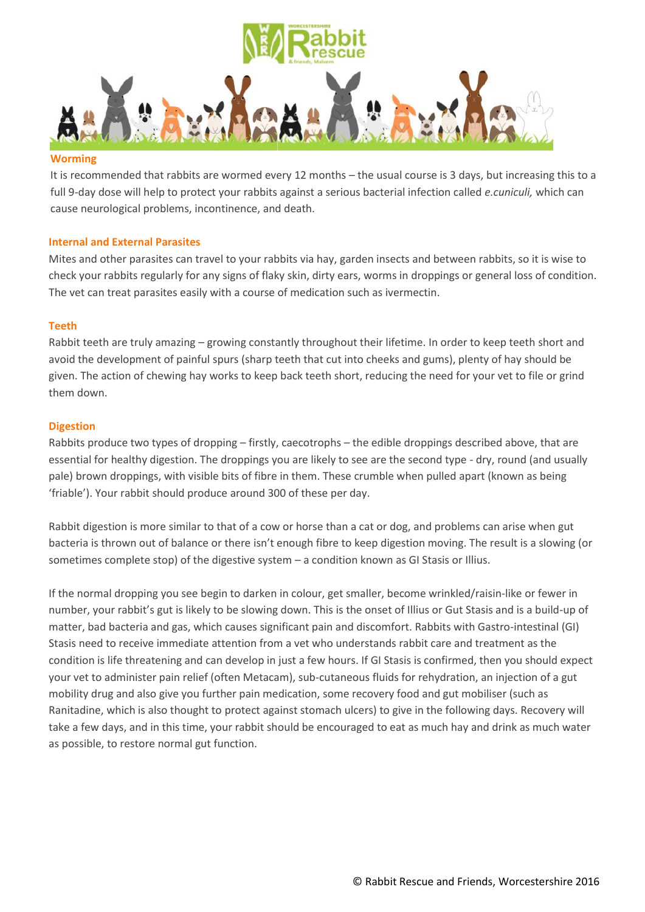

#### **Worming**

It is recommended that rabbits are wormed every 12 months – the usual course is 3 days, but increasing this to a full 9-day dose will help to protect your rabbits against a serious bacterial infection called *e.cuniculi,* which can cause neurological problems, incontinence, and death.

#### **Internal and External Parasites**

Mites and other parasites can travel to your rabbits via hay, garden insects and between rabbits, so it is wise to check your rabbits regularly for any signs of flaky skin, dirty ears, worms in droppings or general loss of condition. The vet can treat parasites easily with a course of medication such as ivermectin.

#### **Teeth**

Rabbit teeth are truly amazing – growing constantly throughout their lifetime. In order to keep teeth short and avoid the development of painful spurs (sharp teeth that cut into cheeks and gums), plenty of hay should be given. The action of chewing hay works to keep back teeth short, reducing the need for your vet to file or grind them down.

#### **Digestion**

Rabbits produce two types of dropping – firstly, caecotrophs – the edible droppings described above, that are essential for healthy digestion. The droppings you are likely to see are the second type - dry, round (and usually pale) brown droppings, with visible bits of fibre in them. These crumble when pulled apart (known as being 'friable'). Your rabbit should produce around 300 of these per day.

Rabbit digestion is more similar to that of a cow or horse than a cat or dog, and problems can arise when gut bacteria is thrown out of balance or there isn't enough fibre to keep digestion moving. The result is a slowing (or sometimes complete stop) of the digestive system – a condition known as GI Stasis or Illius.

If the normal dropping you see begin to darken in colour, get smaller, become wrinkled/raisin-like or fewer in number, your rabbit's gut is likely to be slowing down. This is the onset of Illius or Gut Stasis and is a build-up of matter, bad bacteria and gas, which causes significant pain and discomfort. Rabbits with Gastro-intestinal (GI) Stasis need to receive immediate attention from a vet who understands rabbit care and treatment as the condition is life threatening and can develop in just a few hours. If GI Stasis is confirmed, then you should expect your vet to administer pain relief (often Metacam), sub-cutaneous fluids for rehydration, an injection of a gut mobility drug and also give you further pain medication, some recovery food and gut mobiliser (such as Ranitadine, which is also thought to protect against stomach ulcers) to give in the following days. Recovery will take a few days, and in this time, your rabbit should be encouraged to eat as much hay and drink as much water as possible, to restore normal gut function.